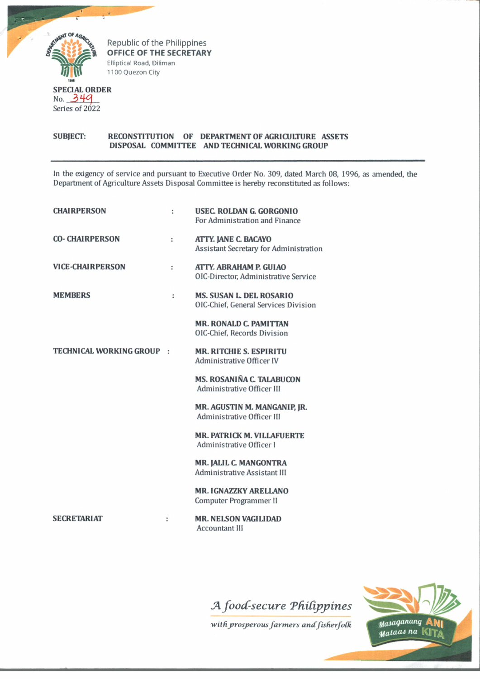

Republic of the Philippines **OFFICE OF THE SECRETARY Elliptical Road, Diliman 1100 Quezon City**

## SUBJECT: RECONSTITUTION OF DEPARTMENT OF AGRICULTURE ASSETS DISPOSAL COMMITTEE AND TECHNICAL WORKING GROUP

In the exigency of service and pursuant to Executive Order No. 309, dated March 08, 1996, as amended, the Department of Agriculture Assets Disposal Committee is hereby reconstituted as follows:

| <b>CHAIRPERSON</b>        | ÷ | USEC. ROLDAN G. GORGONIO<br>For Administration and Finance              |
|---------------------------|---|-------------------------------------------------------------------------|
| <b>CO- CHAIRPERSON</b>    | ÷ | ATTY. JANE C. BACAYO<br>Assistant Secretary for Administration          |
| <b>VICE-CHAIRPERSON</b>   | ÷ | ATTY. ABRAHAM P. GUI AO<br>OIC-Director, Administrative Service         |
| <b>MEMBERS</b>            | ÷ | <b>MS. SUSAN L. DEL ROSARIO</b><br>OIC-Chief, General Services Division |
|                           |   | <b>MR. RONALD C. PAMITTAN</b><br>OIC-Chief, Records Division            |
| TECHNICAL WORKING GROUP : |   | <b>MR. RITCHIE S. ESPIRITU</b><br>Administrative Officer IV             |
|                           |   | <b>MS. ROSANIÑA C. TALABUCON</b><br>Administrative Officer III          |
|                           |   | MR. AGUSTIN M. MANGANIP, JR.<br>Administrative Officer III              |
|                           |   | <b>MR. PATRICK M. VILLAFUERTE</b><br>Administrative Officer I           |
|                           |   | MR. JALIL C. MANGONTRA<br>Administrative Assistant III                  |
|                           |   | <b>MR. IGNAZZKY ARELLANO</b><br>Computer Programmer II                  |
| <b>SECRETARIAT</b>        | ÷ | <b>MR. NELSON VAGILIDAD</b><br><b>Accountant III</b>                    |
|                           |   |                                                                         |

## *foocfsecu re TfiiCijypines*

 $with$  prosperous farmers and fisherfolk